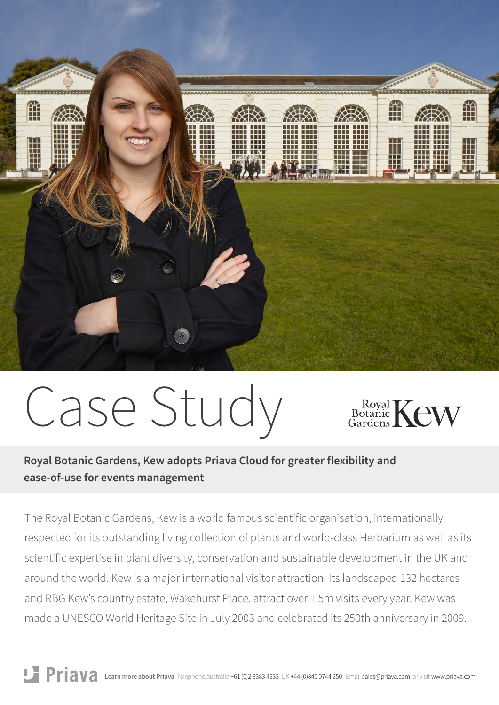

# Case Study



**Royal Botanic Gardens, Kew adopts Priava Cloud for greater flexibility and ease-of-use for events management**

The Royal Botanic Gardens, Kew is a world famous scientific organisation, internationally respected for its outstanding living collection of plants and world-class Herbarium as well as its scientific expertise in plant diversity, conservation and sustainable development in the UK and around the world. Kew is a major international visitor attraction. Its landscaped 132 hectares and RBG Kew's country estate, Wakehurst Place, attract over 1.5m visits every year. Kew was made a UNESCO World Heritage Site in July 2003 and celebrated its 250th anniversary in 2009.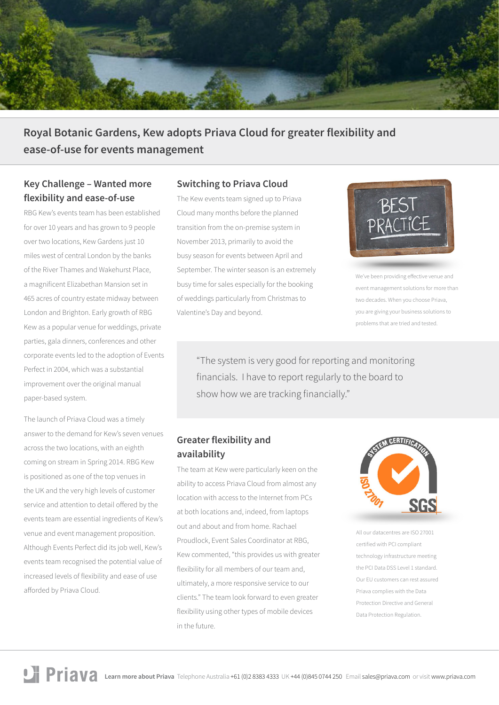

**Royal Botanic Gardens, Kew adopts Priava Cloud for greater flexibility and ease-of-use for events management**

## **Key Challenge – Wanted more flexibility and ease-of-use**

RBG Kew's events team has been established for over 10 years and has grown to 9 people over two locations, Kew Gardens just 10 miles west of central London by the banks of the River Thames and Wakehurst Place, a magnificent Elizabethan Mansion set in 465 acres of country estate midway between London and Brighton. Early growth of RBG Kew as a popular venue for weddings, private parties, gala dinners, conferences and other corporate events led to the adoption of Events Perfect in 2004, which was a substantial improvement over the original manual paper-based system.

The launch of Priava Cloud was a timely answer to the demand for Kew's seven venues across the two locations, with an eighth coming on stream in Spring 2014. RBG Kew is positioned as one of the top venues in the UK and the very high levels of customer service and attention to detail offered by the events team are essential ingredients of Kew's venue and event management proposition. Although Events Perfect did its job well, Kew's events team recognised the potential value of increased levels of flexibility and ease of use afforded by Priava Cloud.

### **Switching to Priava Cloud**

The Kew events team signed up to Priava Cloud many months before the planned transition from the on-premise system in November 2013, primarily to avoid the busy season for events between April and September. The winter season is an extremely busy time for sales especially for the booking of weddings particularly from Christmas to Valentine's Day and beyond.



We've been providing effective venue and event management solutions for more than two decades. When you choose Priava, you are giving your business solutions to problems that are tried and tested.

"The system is very good for reporting and monitoring financials. I have to report regularly to the board to show how we are tracking financially."

### **Greater flexibility and availability**

The team at Kew were particularly keen on the ability to access Priava Cloud from almost any location with access to the Internet from PCs at both locations and, indeed, from laptops out and about and from home. Rachael Proudlock, Event Sales Coordinator at RBG, Kew commented, "this provides us with greater flexibility for all members of our team and, ultimately, a more responsive service to our clients." The team look forward to even greater flexibility using other types of mobile devices in the future.



All our datacentres are ISO 27001 certified with PCI compliant technology infrastructure meeting the PCI Data DSS Level 1 standard. Our EU customers can rest assured Priava complies with the Data Protection Directive and General Data Protection Regulation.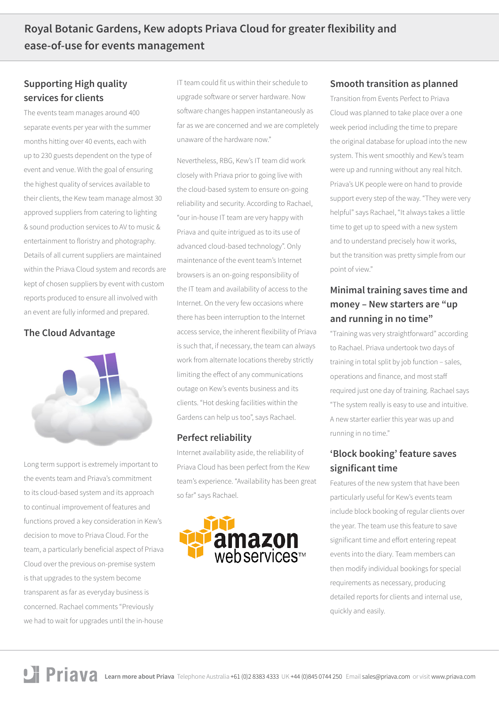# **Supporting High quality services for clients**

The events team manages around 400 separate events per year with the summer months hitting over 40 events, each with up to 230 guests dependent on the type of event and venue. With the goal of ensuring the highest quality of services available to their clients, the Kew team manage almost 30 approved suppliers from catering to lighting & sound production services to AV to music & entertainment to floristry and photography. Details of all current suppliers are maintained within the Priava Cloud system and records are kept of chosen suppliers by event with custom reports produced to ensure all involved with an event are fully informed and prepared.

# **The Cloud Advantage**



Long term support is extremely important to the events team and Priava's commitment to its cloud-based system and its approach to continual improvement of features and functions proved a key consideration in Kew's decision to move to Priava Cloud. For the team, a particularly beneficial aspect of Priava Cloud over the previous on-premise system is that upgrades to the system become transparent as far as everyday business is concerned. Rachael comments "Previously we had to wait for upgrades until the in-house IT team could fit us within their schedule to upgrade software or server hardware. Now software changes happen instantaneously as far as we are concerned and we are completely unaware of the hardware now."

Nevertheless, RBG, Kew's IT team did work closely with Priava prior to going live with the cloud-based system to ensure on-going reliability and security. According to Rachael, "our in-house IT team are very happy with Priava and quite intrigued as to its use of advanced cloud-based technology". Only maintenance of the event team's Internet browsers is an on-going responsibility of the IT team and availability of access to the Internet. On the very few occasions where there has been interruption to the Internet access service, the inherent flexibility of Priava is such that, if necessary, the team can always work from alternate locations thereby strictly limiting the effect of any communications outage on Kew's events business and its clients. "Hot desking facilities within the Gardens can help us too", says Rachael.

### **Perfect reliability**

Internet availability aside, the reliability of Priava Cloud has been perfect from the Kew team's experience. "Availability has been great so far" says Rachael.



### **Smooth transition as planned**

Transition from Events Perfect to Priava Cloud was planned to take place over a one week period including the time to prepare the original database for upload into the new system. This went smoothly and Kew's team were up and running without any real hitch. Priava's UK people were on hand to provide support every step of the way. "They were very helpful" says Rachael, "It always takes a little time to get up to speed with a new system and to understand precisely how it works, but the transition was pretty simple from our point of view."

# **Minimal training saves time and money – New starters are "up and running in no time"**

"Training was very straightforward" according to Rachael. Priava undertook two days of training in total split by job function – sales, operations and finance, and most staff required just one day of training. Rachael says "The system really is easy to use and intuitive. A new starter earlier this year was up and running in no time."

# **'Block booking' feature saves significant time**

Features of the new system that have been particularly useful for Kew's events team include block booking of regular clients over the year. The team use this feature to save significant time and effort entering repeat events into the diary. Team members can then modify individual bookings for special requirements as necessary, producing detailed reports for clients and internal use, quickly and easily.